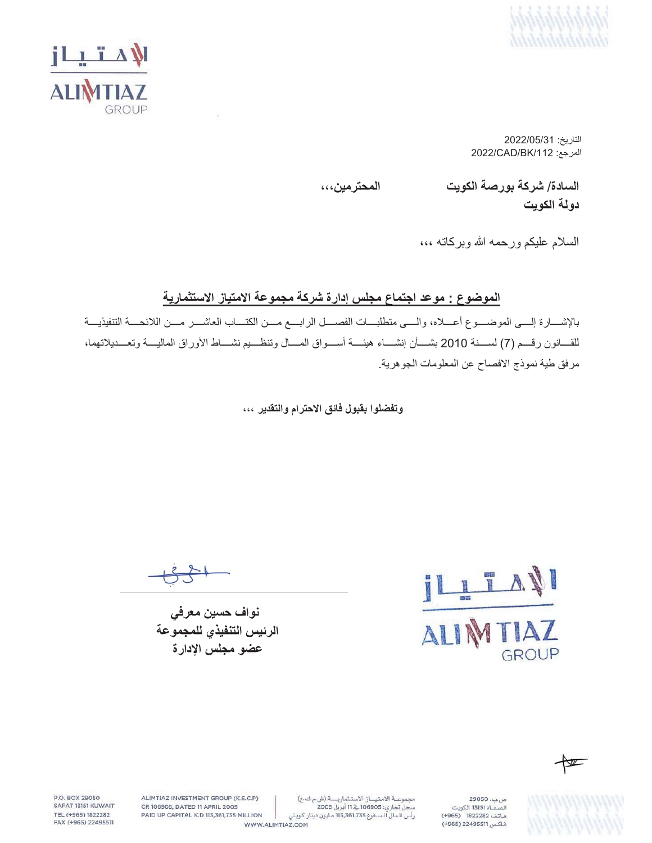



 $2022/05/31$ التاريخ: 2022/CAD/BK/112 :

**ˬˬˬϥϳϣέΗΣϣϟ ΕϳϭϛϟΔλέϭΑΔϛέη** /**ΓΩΎγϟ**

دولة الكوي*ت* 

السلام عليكم ورحمه الله وبركاته ،،،

### الموضوع : موعد اجتماع مجلس إدارة شركة مجموعة الامتياز الاستثمارية

بالإشـــارة إلـــي الموضــــوع أعــــلاه، والــــي متطلبــــات الفصــــل الرابــــع مــــن الكتــــاب العاشــــر مــــن اللائحــــة التنفيذيــــة للقسانون رقسم (7) لسسنة 2010 بشسأن إنشساء هيئسة أسسواق المسال وتنظسيم نشساط الأوراق الماليسة وتعسديلاتهما، مرفق طية نموذج الافصاح عن المعلومات الجوهرية.

وت**فضلوا بقبول فائق الاحترام والتقدير** ،،،

نواف حسين معرف*ي* الرئيس التنفيذي للمجموعة عضو مجلس الإدارة

**AVI** AI GROUP

N

ص بب، 29050 .<br>الصفاة 13151 الكويت هاتف 1822282 (4965) فاكس 22495511 (+965)

مجموعة الامتياز الاستثمارية (ش.م ك.ع) سجل تجاري: 106905 في 11 أبريل 2005 رأس الـمال الـمدفوع 113,361,735 مـليون دينار كـويتي

WWW.ALIMTIAZ.COM

ALIMTIAZ INVESTMENT GROUP (K.S.C.P) CR 106905, DATED 11 APRIL 2005 PAID UP CAPITAL K.D 113,361,735 MILLION

P.O. BOX 29050

SAFAT 13151 KUWAIT

TEL (+965) 1822282

FAX (+965) 22495511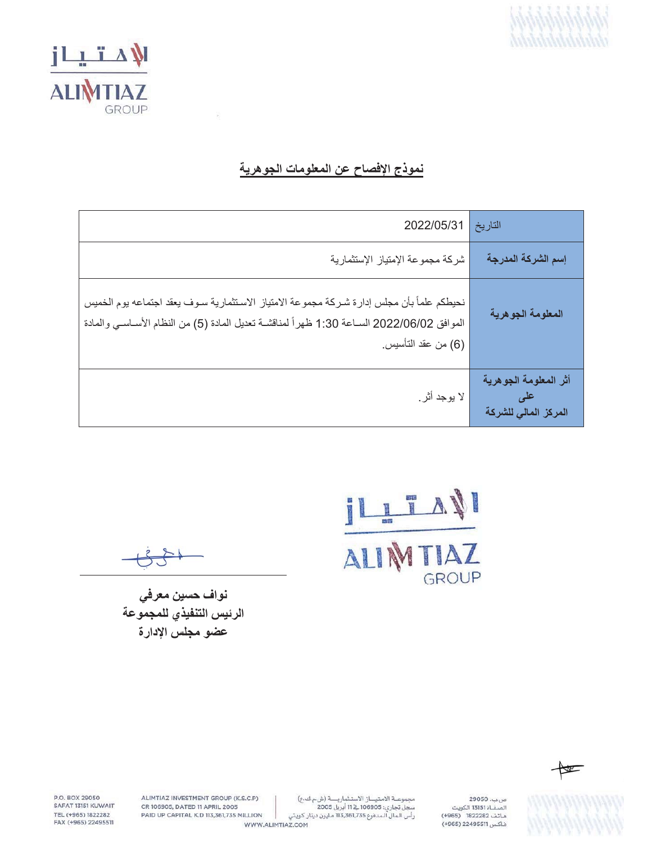



## نموذج الإفصاح عن المعلومات الجوهرية

| 2022/05/31                                                                                                                                                                                                   | التاريخ                                       |
|--------------------------------------------------------------------------------------------------------------------------------------------------------------------------------------------------------------|-----------------------------------------------|
| شركة مجموعة الإمتياز الإستثمارية                                                                                                                                                                             | إسم الشركة المدرجة                            |
| نحيطكم علمأ بأن مجلس إدارة شركة مجموعة الامتياز الاستثمارية سوف يعقد اجتماعه يوم الخميس<br>الموافق 2022/06/02 السـاعة 1:30 ظهراً لمناقشـة تعديل المادة (5) من النظام الأسـاسـي والمادة<br>(6) من عقد التأسيس | المعلومة الجوهرية                             |
| لا يوجد أثر ِ                                                                                                                                                                                                | أثر المعلومة الجوهرية<br>المركز المالي للشركة |

ILL TAN GROUP

نواف حسين معرفي الرئيس التنفيذي للمجموعة عضو مجلس الإدارة



صب. 29050

.<br>الصفاة 13151 الكويت

هاتف 1822282 (4965)

فاكس 22495511 (+965)

K

P.O. BOX 29050 SAFAT 13151 KUWAIT TEL (+965) 1822282 FAX (+965) 22495511

ALIMTIAZ INVESTMENT GROUP (K.S.C.P) CR 106905, DATED 11 APRIL 2005 PAID UP CAPITAL K.D 113,361,735 MILLION

مجموعة الامتياز الاستثمارية (شءك ع) مبسوعت المسيحين المستدريت رس م تاريخ<br>سجل تجاري: 116905 في 11 أبريل 2005<br>رأس الـمال الـمدفوع 113,361,735 مليون دينار كـويتي

WWW.ALIMTIAZ.COM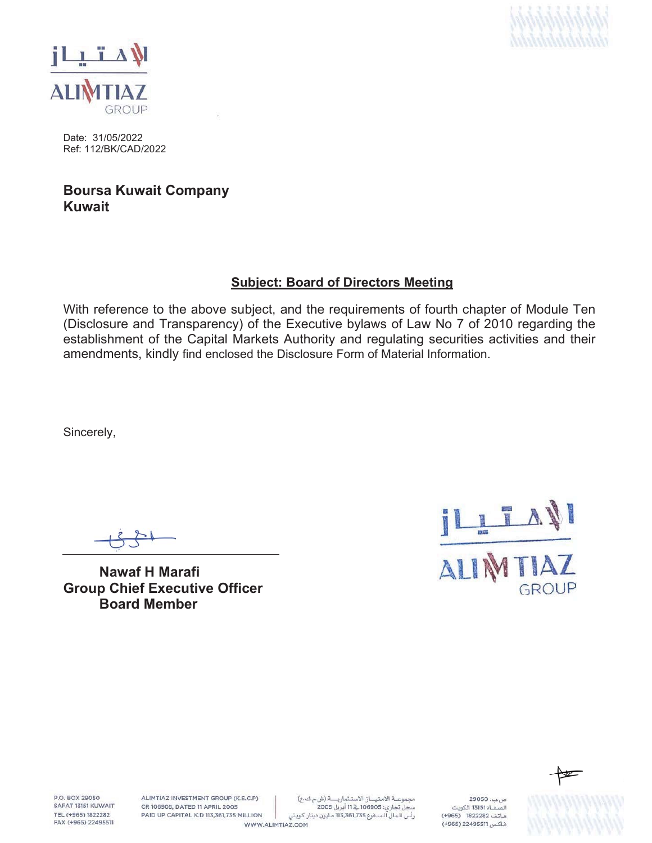



Date: 31/05/2022 Ref: 112/BK/CAD/2022

## **Boursa Kuwait Company Kuwait**

#### **Subject: Board of Directors Meeting**

With reference to the above subject, and the requirements of fourth chapter of Module Ten (Disclosure and Transparency) of the Executive bylaws of Law No 7 of 2010 regarding the establishment of the Capital Markets Authority and regulating securities activities and their amendments, kindly find enclosed the Disclosure Form of Material Information.

Sincerely,

**Nawaf H Marafi Group Chief Executive Officer Board Member**





P.O. BOX 29050 SAFAT 13151 KUWAIT TEL (+965) 1822282 FAX (+965) 22495511

ALIMTIAZ INVESTMENT GROUP (K.S.C.P) CR 106905, DATED 11 APRIL 2005 PAID UP CAPITAL K.D 113,361,735 MILLION

مجموعة الامتياز الاستثمارية (شءك ع) سجل تجاري: 106905 في 11 أبريل 2005 رأس الـمال الـمدفوع 113,361,735 مـليون دينار كـويتي

WWW.ALIMTIAZ.COM

29050 .  $\mu$ .<br>الصفــاة 13151 الكويت هاتف 1822282 (4965) فاكس 22495511 (+965)